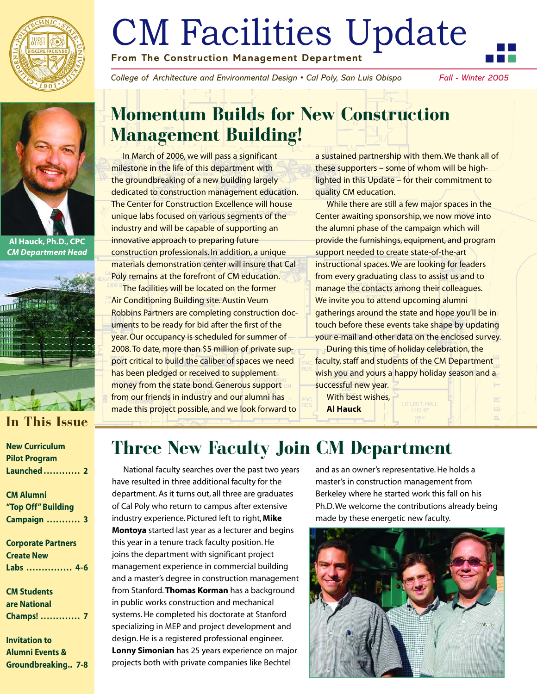

# CM Facilities Update **From The Construction Management Department**

*College of Architecture and Environmental Design • Cal Poly, San Luis Obispo Fall - Winter 2005* 

n.



**Al Hauck, Ph.D., CPC**  *CM Department Head* 



#### **In This Issue**

| <b>New Curriculum</b> |  |
|-----------------------|--|
| <b>Pilot Program</b>  |  |
| Launched  2           |  |

**CM Alumni "Top Off" Building Campaign . . . . . . . . . . . 3** 

**Corporate Partners Create New Labs . . . . . . . . . . . . . . . 4-6** 

**CM Students are National Champs! . . . . . . . . . . . . . 7** 

**Invitation to Alumni Events & Groundbreaking.. 7-8** 

## **Momentum Builds for New Construction Management Building!**

In March of 2006, we will pass a significant milestone in the life of this department with the groundbreaking of a new building largely dedicated to construction management education. The Center for Construction Excellence will house unique labs focused on various segments of the industry and will be capable of supporting an innovative approach to preparing future construction professionals. In addition, a unique materials demonstration center will insure that Cal Poly remains at the forefront of CM education.

The facilities will be located on the former Air Conditioning Building site. Austin Veum Robbins Partners are completing construction documents to be ready for bid after the first of the year. Our occupancy is scheduled for summer of 2008. To date, more than \$5 million of private support critical to build the caliber of spaces we need has been pledged or received to supplement money from the state bond. Generous support from our friends in industry and our alumni has made this project possible, and we look forward to

a sustained partnership with them. We thank all of these supporters – some of whom will be highlighted in this Update – for their commitment to quality CM education.

While there are still a few major spaces in the Center awaiting sponsorship, we now move into the alumni phase of the campaign which will provide the furnishings, equipment, and program support needed to create state-of-the-art instructional spaces. We are looking for leaders from every graduating class to assist us and to manage the contacts among their colleagues. We invite you to attend upcoming alumni gatherings around the state and hope you'll be in touch before these events take shape by updating your e-mail and other data on the enclosed survey.

During this time of holiday celebration, the faculty, staff and students of the CM Department wish you and yours a happy holiday season and a successful new year.

With best wishes, **Al Hauck** 

## **Three New Faculty Join CM Department**

National faculty searches over the past two years have resulted in three additional faculty for the department. As it turns out, all three are graduates of Cal Poly who return to campus after extensive industry experience. Pictured left to right, **Mike Montoya** started last year as a lecturer and begins this year in a tenure track faculty position. He joins the department with significant project management experience in commercial building and a master's degree in construction management from Stanford. **Thomas Korman** has a background in public works construction and mechanical systems. He completed his doctorate at Stanford specializing in MEP and project development and design. He is a registered professional engineer. **Lonny Simonian** has 25 years experience on major projects both with private companies like Bechtel

and as an owner's representative. He holds a master's in construction management from Berkeley where he started work this fall on his Ph.D. We welcome the contributions already being made by these energetic new faculty.

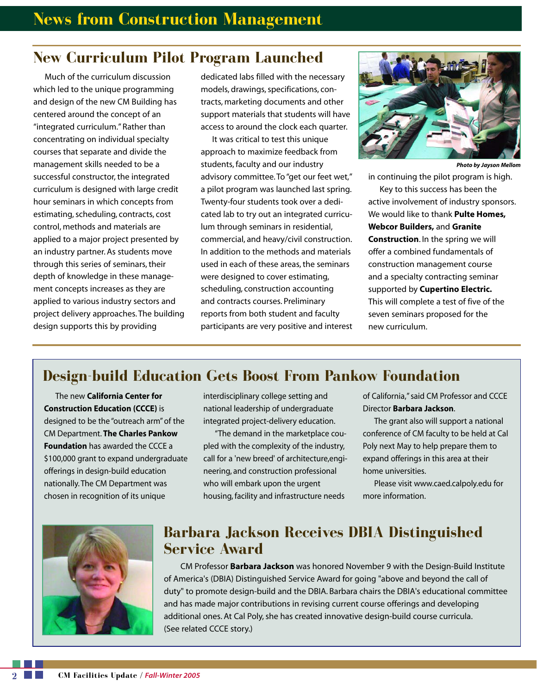#### **New Curriculum Pilot Program Launched**

Much of the curriculum discussion which led to the unique programming and design of the new CM Building has centered around the concept of an "integrated curriculum." Rather than concentrating on individual specialty courses that separate and divide the management skills needed to be a successful constructor, the integrated curriculum is designed with large credit hour seminars in which concepts from estimating, scheduling, contracts, cost control, methods and materials are applied to a major project presented by an industry partner. As students move through this series of seminars, their depth of knowledge in these management concepts increases as they are applied to various industry sectors and project delivery approaches. The building design supports this by providing

dedicated labs filled with the necessary models, drawings, specifications, contracts, marketing documents and other support materials that students will have access to around the clock each quarter.

It was critical to test this unique approach to maximize feedback from students, faculty and our industry advisory committee. To "get our feet wet," a pilot program was launched last spring. Twenty-four students took over a dedicated lab to try out an integrated curriculum through seminars in residential, commercial, and heavy/civil construction. In addition to the methods and materials used in each of these areas, the seminars were designed to cover estimating, scheduling, construction accounting and contracts courses. Preliminary reports from both student and faculty participants are very positive and interest



*Photo by Jayson Mellom* 

in continuing the pilot program is high.

Key to this success has been the active involvement of industry sponsors. We would like to thank **Pulte Homes, Webcor Builders,** and **Granite Construction**. In the spring we will offer a combined fundamentals of construction management course and a specialty contracting seminar supported by **Cupertino Electric.**  This will complete a test of five of the seven seminars proposed for the new curriculum.

#### **Design-build Education Gets Boost From Pankow Foundation**

The new **California Center for Construction Education (CCCE)** is designed to be the "outreach arm" of the CM Department. **The Charles Pankow Foundation** has awarded the CCCE a \$100,000 grant to expand undergraduate offerings in design-build education nationally. The CM Department was chosen in recognition of its unique

interdisciplinary college setting and national leadership of undergraduate integrated project-delivery education.

"The demand in the marketplace coupled with the complexity of the industry, call for a 'new breed' of architecture,engineering, and construction professional who will embark upon the urgent housing, facility and infrastructure needs

of California," said CM Professor and CCCE Director **Barbara Jackson**.

The grant also will support a national conference of CM faculty to be held at Cal Poly next May to help prepare them to expand offerings in this area at their home universities.

Please visit www.caed.calpoly.edu for more information.



#### **Barbara Jackson Receives DBIA Distinguished Service Award**

CM Professor **Barbara Jackson** was honored November 9 with the Design-Build Institute of America's (DBIA) Distinguished Service Award for going "above and beyond the call of duty" to promote design-build and the DBIA. Barbara chairs the DBIA's educational committee and has made major contributions in revising current course offerings and developing additional ones. At Cal Poly, she has created innovative design-build course curricula. (See related CCCE story.)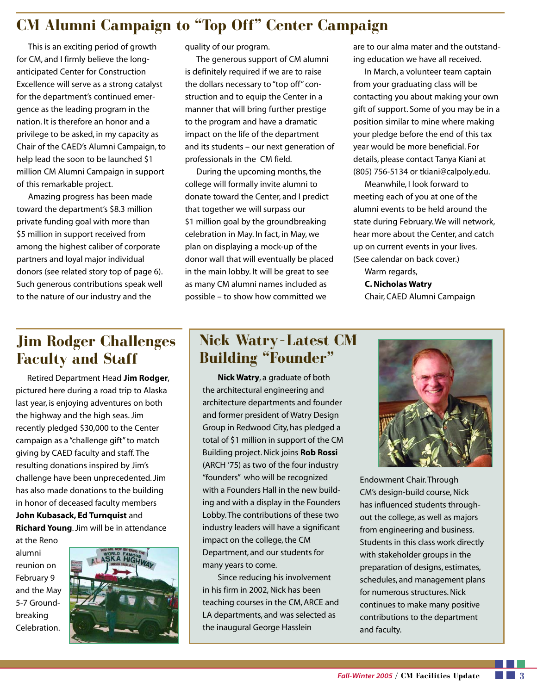## **CM Alumni Campaign to "Top Off" Center Campaign**

This is an exciting period of growth for CM, and I firmly believe the longanticipated Center for Construction Excellence will serve as a strong catalyst for the department's continued emergence as the leading program in the nation. It is therefore an honor and a privilege to be asked, in my capacity as Chair of the CAED's Alumni Campaign, to help lead the soon to be launched \$1 million CM Alumni Campaign in support of this remarkable project.

Amazing progress has been made toward the department's \$8.3 million private funding goal with more than \$5 million in support received from among the highest caliber of corporate partners and loyal major individual donors (see related story top of page 6). Such generous contributions speak well to the nature of our industry and the

quality of our program.

The generous support of CM alumni is definitely required if we are to raise the dollars necessary to "top off" construction and to equip the Center in a manner that will bring further prestige to the program and have a dramatic impact on the life of the department and its students – our next generation of professionals in the CM field.

During the upcoming months, the college will formally invite alumni to donate toward the Center, and I predict that together we will surpass our \$1 million goal by the groundbreaking celebration in May. In fact, in May, we plan on displaying a mock-up of the donor wall that will eventually be placed in the main lobby. It will be great to see as many CM alumni names included as possible – to show how committed we

are to our alma mater and the outstanding education we have all received.

In March, a volunteer team captain from your graduating class will be contacting you about making your own gift of support. Some of you may be in a position similar to mine where making your pledge before the end of this tax year would be more beneficial. For details, please contact Tanya Kiani at (805) 756-5134 or tkiani@calpoly.edu.

Meanwhile, I look forward to meeting each of you at one of the alumni events to be held around the state during February. We will network, hear more about the Center, and catch up on current events in your lives. (See calendar on back cover.)

Warm regards, **C. Nicholas Watry**  Chair, CAED Alumni Campaign

## **Jim Rodger Challenges Faculty and Staff**

Retired Department Head **Jim Rodger**, pictured here during a road trip to Alaska last year, is enjoying adventures on both the highway and the high seas. Jim recently pledged \$30,000 to the Center campaign as a "challenge gift" to match giving by CAED faculty and staff. The resulting donations inspired by Jim's challenge have been unprecedented. Jim has also made donations to the building in honor of deceased faculty members **John Kubasack, Ed Turnquist** and

**Richard Young**. Jim will be in attendance

at the Reno alumni reunion on February 9 and the May 5-7 Groundbreaking Celebration.



### **Nick Watry–Latest CM Building "Founder"**

**Nick Watry**, a graduate of both the architectural engineering and architecture departments and founder and former president of Watry Design Group in Redwood City, has pledged a total of \$1 million in support of the CM Building project. Nick joins **Rob Rossi**  (ARCH '75) as two of the four industry "founders" who will be recognized with a Founders Hall in the new building and with a display in the Founders Lobby. The contributions of these two industry leaders will have a significant impact on the college, the CM Department, and our students for many years to come.

Since reducing his involvement in his firm in 2002, Nick has been teaching courses in the CM, ARCE and LA departments, and was selected as the inaugural George Hasslein



Endowment Chair. Through CM's design-build course, Nick has influenced students throughout the college, as well as majors from engineering and business. Students in this class work directly with stakeholder groups in the preparation of designs, estimates, schedules, and management plans for numerous structures. Nick continues to make many positive contributions to the department and faculty.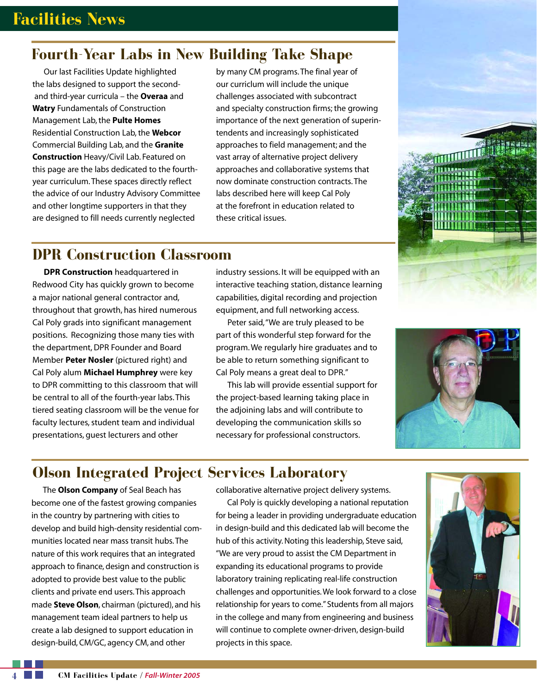### **Fourth-Year Labs in New Building Take Shape**

Our last Facilities Update highlighted the labs designed to support the secondand third-year curricula – the **Overaa** and **Watry** Fundamentals of Construction Management Lab, the **Pulte Homes**  Residential Construction Lab, the **Webcor**  Commercial Building Lab, and the **Granite Construction** Heavy/Civil Lab. Featured on this page are the labs dedicated to the fourthyear curriculum. These spaces directly reflect the advice of our Industry Advisory Committee and other longtime supporters in that they are designed to fill needs currently neglected

by many CM programs. The final year of our curriclum will include the unique challenges associated with subcontract and specialty construction firms; the growing importance of the next generation of superintendents and increasingly sophisticated approaches to field management; and the vast array of alternative project delivery approaches and collaborative systems that now dominate construction contracts. The labs described here will keep Cal Poly at the forefront in education related to these critical issues.

#### **DPR Construction Classroom**

**DPR Construction** headquartered in Redwood City has quickly grown to become a major national general contractor and, throughout that growth, has hired numerous Cal Poly grads into significant management positions. Recognizing those many ties with the department, DPR Founder and Board Member **Peter Nosler** (pictured right) and Cal Poly alum **Michael Humphrey** were key to DPR committing to this classroom that will be central to all of the fourth-year labs. This tiered seating classroom will be the venue for faculty lectures, student team and individual presentations, guest lecturers and other

industry sessions. It will be equipped with an interactive teaching station, distance learning capabilities, digital recording and projection equipment, and full networking access.

Peter said,"We are truly pleased to be part of this wonderful step forward for the program. We regularly hire graduates and to be able to return something significant to Cal Poly means a great deal to DPR."

This lab will provide essential support for the project-based learning taking place in the adjoining labs and will contribute to developing the communication skills so necessary for professional constructors.



### **Olson Integrated Project Services Laboratory**

approach to finance, design and construction is expanding its educational programs to provide design-build, CM/GC, agency CM, and other projects in this space.

The **Olson Company** of Seal Beach has collaborative alternative project delivery systems.

become one of the fastest growing companies Cal Poly is quickly developing a national reputation in the country by partnering with cities to for being a leader in providing undergraduate education develop and build high-density residential com- in design-build and this dedicated lab will become the munities located near mass transit hubs. The hub of this activity. Noting this leadership, Steve said, nature of this work requires that an integrated "We are very proud to assist the CM Department in adopted to provide best value to the public laboratory training replicating real-life construction clients and private end users. This approach challenges and opportunities. We look forward to a close made **Steve Olson**, chairman (pictured), and his relationship for years to come." Students from all majors management team ideal partners to help us in the college and many from engineering and business create a lab designed to support education in will continue to complete owner-driven, design-build

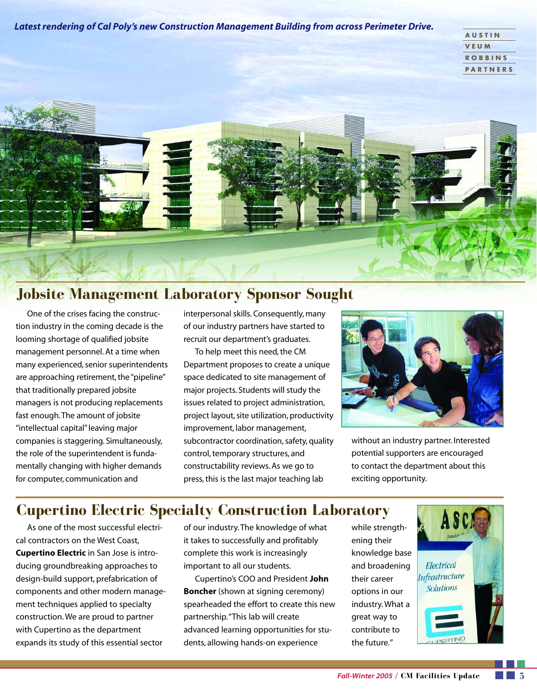*Latest rendering of Cal Poly's new Construction Management Building from across Perimeter Drive.* 

| <b>AUSTIN</b>   |
|-----------------|
| <b>VEUM</b>     |
| <b>ROBBINS</b>  |
| <b>PARTNERS</b> |



#### **Jobsite Management Laboratory Sponsor Sought**

One of the crises facing the construction industry in the coming decade is the looming shortage of qualified jobsite management personnel. At a time when many experienced, senior superintendents are approaching retirement, the "pipeline" that traditionally prepared jobsite managers is not producing replacements fast enough. The amount of jobsite "intellectual capital" leaving major companies is staggering. Simultaneously, the role of the superintendent is fundamentally changing with higher demands for computer, communication and

interpersonal skills. Consequently, many of our industry partners have started to recruit our department's graduates.

To help meet this need, the CM Department proposes to create a unique space dedicated to site management of major projects. Students will study the issues related to project administration, project layout, site utilization, productivity improvement, labor management, subcontractor coordination, safety, quality control, temporary structures, and constructability reviews. As we go to press, this is the last major teaching lab



without an industry partner. Interested potential supporters are encouraged to contact the department about this exciting opportunity.

## **Cupertino Electric Specialty Construction Laboratory**

cal contractors on the West Coast, it takes to successfully and profitably ening their **Cupertino Electric** in San Jose is intro- complete this work is increasingly knowledge base ducing groundbreaking approaches to important to all our students. and broadening design-build support, prefabrication of Cupertino's COO and President **John** their career

As one of the most successful electri- of our industry. The knowledge of what while strength-

components and other modern manage- **Boncher** (shown at signing ceremony) options in our ment techniques applied to specialty spearheaded the effort to create this new industry. What a construction. We are proud to partner example partnership. "This lab will create great way to with Cupertino as the department advanced learning opportunities for stu-<br> expands its study of this essential sector dents, allowing hands-on experience the future."

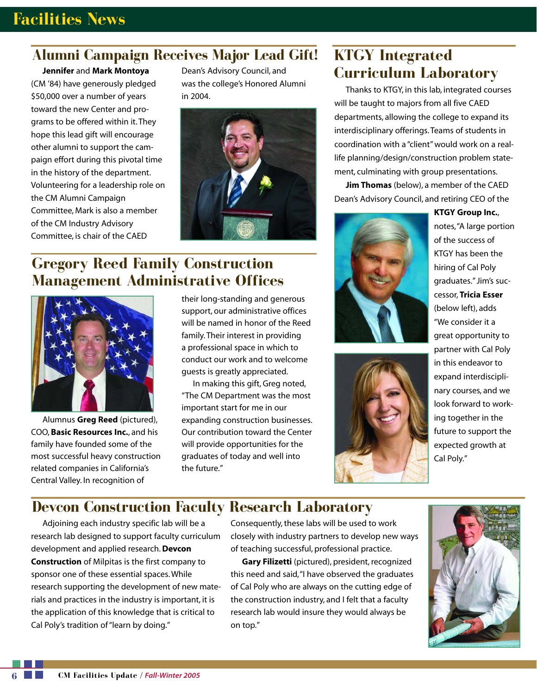#### **Alumni Campaign Receives Major Lead Gift!**

**Jennifer** and **Mark Montoya**  (CM '84) have generously pledged \$50,000 over a number of years toward the new Center and programs to be offered within it. They hope this lead gift will encourage other alumni to support the campaign effort during this pivotal time in the history of the department. Volunteering for a leadership role on the CM Alumni Campaign Committee, Mark is also a member of the CM Industry Advisory Committee, is chair of the CAED

Dean's Advisory Council, and was the college's Honored Alumni in 2004.



#### **Gregory Reed Family Construction Management Administrative Offices**



Alumnus **Greg Reed** (pictured), COO, **Basic Resources Inc.**, and his family have founded some of the most successful heavy construction related companies in California's Central Valley. In recognition of

their long-standing and generous support, our administrative offices will be named in honor of the Reed family. Their interest in providing a professional space in which to conduct our work and to welcome guests is greatly appreciated.

In making this gift, Greg noted, "The CM Department was the most important start for me in our expanding construction businesses. Our contribution toward the Center will provide opportunities for the graduates of today and well into the future."

### **KTGY Integrated Curriculum Laboratory**

Thanks to KTGY, in this lab, integrated courses will be taught to majors from all five CAED departments, allowing the college to expand its interdisciplinary offerings. Teams of students in coordination with a "client" would work on a reallife planning/design/construction problem statement, culminating with group presentations.

**Jim Thomas** (below), a member of the CAED Dean's Advisory Council, and retiring CEO of the





**KTGY Group Inc.**, notes,"A large portion of the success of KTGY has been the hiring of Cal Poly graduates." Jim's successor, **Tricia Esser**  (below left), adds "We consider it a great opportunity to partner with Cal Poly in this endeavor to expand interdisciplinary courses, and we look forward to working together in the future to support the expected growth at Cal Poly."

### **Devcon Construction Faculty Research Laboratory**

Adjoining each industry specific lab will be a Consequently, these labs will be used to work research lab designed to support faculty curriculum closely with industry partners to develop new ways development and applied research. **Devcon** of teaching successful, professional practice. **Construction** of Milpitas is the first company to **Gary Filizetti** (pictured), president, recognized sponsor one of these essential spaces. While this need and said, "I have observed the graduates research supporting the development of new mate- of Cal Poly who are always on the cutting edge of rials and practices in the industry is important, it is the construction industry, and I felt that a faculty the application of this knowledge that is critical to research lab would insure they would always be Cal Poly's tradition of "learn by doing." The contract on top."

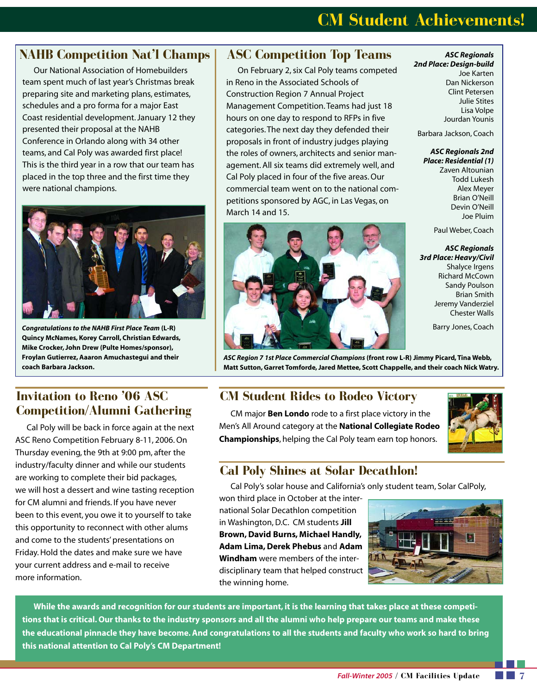## **CM Student Achievements!**

#### **NAHB Competition Nat'l Champs**

Our National Association of Homebuilders team spent much of last year's Christmas break preparing site and marketing plans, estimates, schedules and a pro forma for a major East Coast residential development. January 12 they presented their proposal at the NAHB Conference in Orlando along with 34 other teams, and Cal Poly was awarded first place! This is the third year in a row that our team has placed in the top three and the first time they were national champions.



*Congratulations to the NAHB First Place Team* **(L-R) Quincy McNames, Korey Carroll, Christian Edwards, Mike Crocker, John Drew (Pulte Homes/sponsor), Froylan Gutierrez, Aaaron Amuchastegui and their coach Barbara Jackson.** 

#### **ASC Competition Top Teams**

On February 2, six Cal Poly teams competed in Reno in the Associated Schools of Construction Region 7 Annual Project Management Competition. Teams had just 18 hours on one day to respond to RFPs in five categories. The next day they defended their proposals in front of industry judges playing the roles of owners, architects and senior management. All six teams did extremely well, and Cal Poly placed in four of the five areas. Our commercial team went on to the national competitions sponsored by AGC, in Las Vegas, on March 14 and 15.



*ASC Regionals 2nd Place: Design-build*  Joe Karten Dan Nickerson Clint Petersen Julie Stites

Lisa Volpe Jourdan Younis

Barbara Jackson, Coach

#### *ASC Regionals 2nd Place: Residential (1)*

Zaven Altounian Todd Lukesh Alex Meyer Brian O'Neill Devin O'Neill Joe Pluim

Paul Weber, Coach

*ASC Regionals 3rd Place: Heavy/Civil*  Shalyce Irgens Richard McCown Sandy Poulson Brian Smith Jeremy Vanderziel Chester Walls

Barry Jones, Coach

*ASC Region 7 1st Place Commercial Champions* **(front row L-R) Jimmy Picard, Tina Webb, Matt Sutton, Garret Tomforde, Jared Mettee, Scott Chappelle, and their coach Nick Watry.** 

#### **Invitation to Reno '06 ASC Competition/Alumni Gathering**

Cal Poly will be back in force again at the next ASC Reno Competition February 8-11, 2006. On Thursday evening, the 9th at 9:00 pm, after the industry/faculty dinner and while our students are working to complete their bid packages, we will host a dessert and wine tasting reception for CM alumni and friends. If you have never been to this event, you owe it to yourself to take this opportunity to reconnect with other alums and come to the students' presentations on Friday. Hold the dates and make sure we have your current address and e-mail to receive more information.

#### **CM Student Rides to Rodeo Victory**

CM major **Ben Londo** rode to a first place victory in the Men's All Around category at the **National Collegiate Rodeo Championships**, helping the Cal Poly team earn top honors.



#### **Cal Poly Shines at Solar Decathlon!**

Cal Poly's solar house and California's only student team, Solar CalPoly,

won third place in October at the international Solar Decathlon competition in Washington, D.C. CM students **Jill Brown, David Burns, Michael Handly, Adam Lima, Derek Phebus** and **Adam Windham** were members of the interdisciplinary team that helped construct the winning home.



**While the awards and recognition for our students are important, it is the learning that takes place at these competitions that is critical. Our thanks to the industry sponsors and all the alumni who help prepare our teams and make these the educational pinnacle they have become. And congratulations to all the students and faculty who work so hard to bring this national attention to Cal Poly's CM Department!**